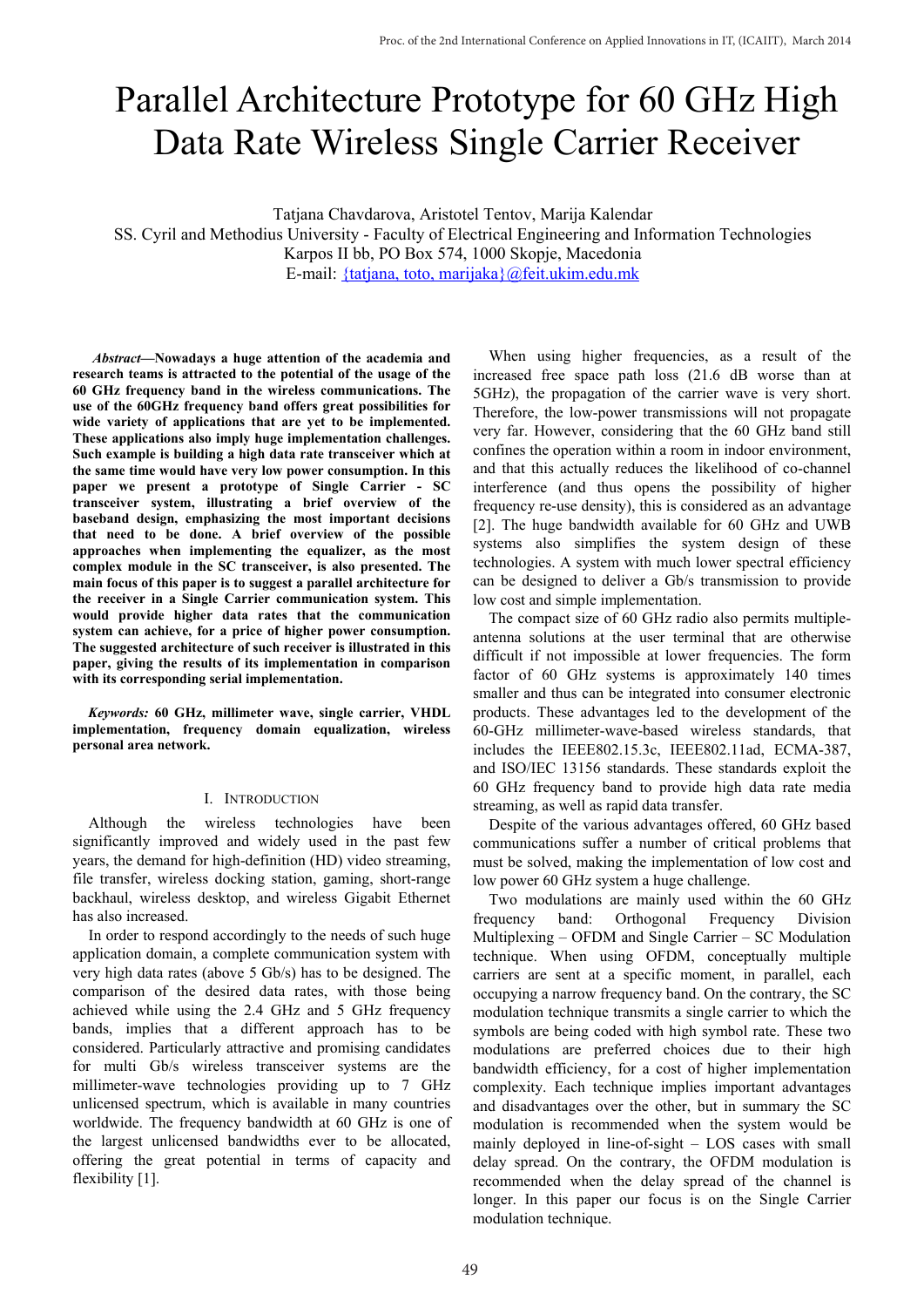# Parallel Architecture Prototype for 60 GHz High Data Rate Wireless Single Carrier Receiver

Tatjana Chavdarova, Aristotel Tentov, Marija Kalendar SS. Cyril and Methodius University - Faculty of Electrical Engineering and Information Technologies Karpos II bb, PO Box 574, 1000 Skopje, Macedonia E-mail: {tatjana, toto, marijaka}@feit.ukim.edu.mk

*Abstract—***Nowadays a huge attention of the academia and research teams is attracted to the potential of the usage of the 60 GHz frequency band in the wireless communications. The use of the 60GHz frequency band offers great possibilities for wide variety of applications that are yet to be implemented. These applications also imply huge implementation challenges. Such example is building a high data rate transceiver which at the same time would have very low power consumption. In this paper we present a prototype of Single Carrier - SC transceiver system, illustrating a brief overview of the baseband design, emphasizing the most important decisions that need to be done. A brief overview of the possible approaches when implementing the equalizer, as the most complex module in the SC transceiver, is also presented. The main focus of this paper is to suggest a parallel architecture for the receiver in a Single Carrier communication system. This would provide higher data rates that the communication system can achieve, for a price of higher power consumption. The suggested architecture of such receiver is illustrated in this paper, giving the results of its implementation in comparison with its corresponding serial implementation.**

*Keywords:* **60 GHz, millimeter wave, single carrier, VHDL implementation, frequency domain equalization, wireless personal area network.**

## I. INTRODUCTION

Although the wireless technologies have been significantly improved and widely used in the past few years, the demand for high-definition (HD) video streaming, file transfer, wireless docking station, gaming, short-range backhaul, wireless desktop, and wireless Gigabit Ethernet has also increased.

In order to respond accordingly to the needs of such huge application domain, a complete communication system with very high data rates (above 5 Gb/s) has to be designed. The comparison of the desired data rates, with those being achieved while using the 2.4 GHz and 5 GHz frequency bands, implies that a different approach has to be considered. Particularly attractive and promising candidates for multi Gb/s wireless transceiver systems are the millimeter-wave technologies providing up to 7 GHz unlicensed spectrum, which is available in many countries worldwide. The frequency bandwidth at 60 GHz is one of the largest unlicensed bandwidths ever to be allocated, offering the great potential in terms of capacity and flexibility [1].

When using higher frequencies, as a result of the increased free space path loss (21.6 dB worse than at 5GHz), the propagation of the carrier wave is very short. Therefore, the low-power transmissions will not propagate very far. However, considering that the 60 GHz band still confines the operation within a room in indoor environment, and that this actually reduces the likelihood of co-channel interference (and thus opens the possibility of higher frequency re-use density), this is considered as an advantage [2]. The huge bandwidth available for 60 GHz and UWB systems also simplifies the system design of these technologies. A system with much lower spectral efficiency can be designed to deliver a Gb/s transmission to provide low cost and simple implementation.

The compact size of 60 GHz radio also permits multipleantenna solutions at the user terminal that are otherwise difficult if not impossible at lower frequencies. The form factor of 60 GHz systems is approximately 140 times smaller and thus can be integrated into consumer electronic products. These advantages led to the development of the 60-GHz millimeter-wave-based wireless standards, that includes the IEEE802.15.3c, IEEE802.11ad, ECMA-387, and ISO/IEC 13156 standards. These standards exploit the 60 GHz frequency band to provide high data rate media streaming, as well as rapid data transfer.

Despite of the various advantages offered, 60 GHz based communications suffer a number of critical problems that must be solved, making the implementation of low cost and low power 60 GHz system a huge challenge.

Two modulations are mainly used within the 60 GHz frequency band: Orthogonal Frequency Division Multiplexing – OFDM and Single Carrier – SC Modulation technique. When using OFDM, conceptually multiple carriers are sent at a specific moment, in parallel, each occupying a narrow frequency band. On the contrary, the SC modulation technique transmits a single carrier to which the symbols are being coded with high symbol rate. These two modulations are preferred choices due to their high bandwidth efficiency, for a cost of higher implementation complexity. Each technique implies important advantages and disadvantages over the other, but in summary the SC modulation is recommended when the system would be mainly deployed in line-of-sight – LOS cases with small delay spread. On the contrary, the OFDM modulation is recommended when the delay spread of the channel is longer. In this paper our focus is on the Single Carrier modulation technique.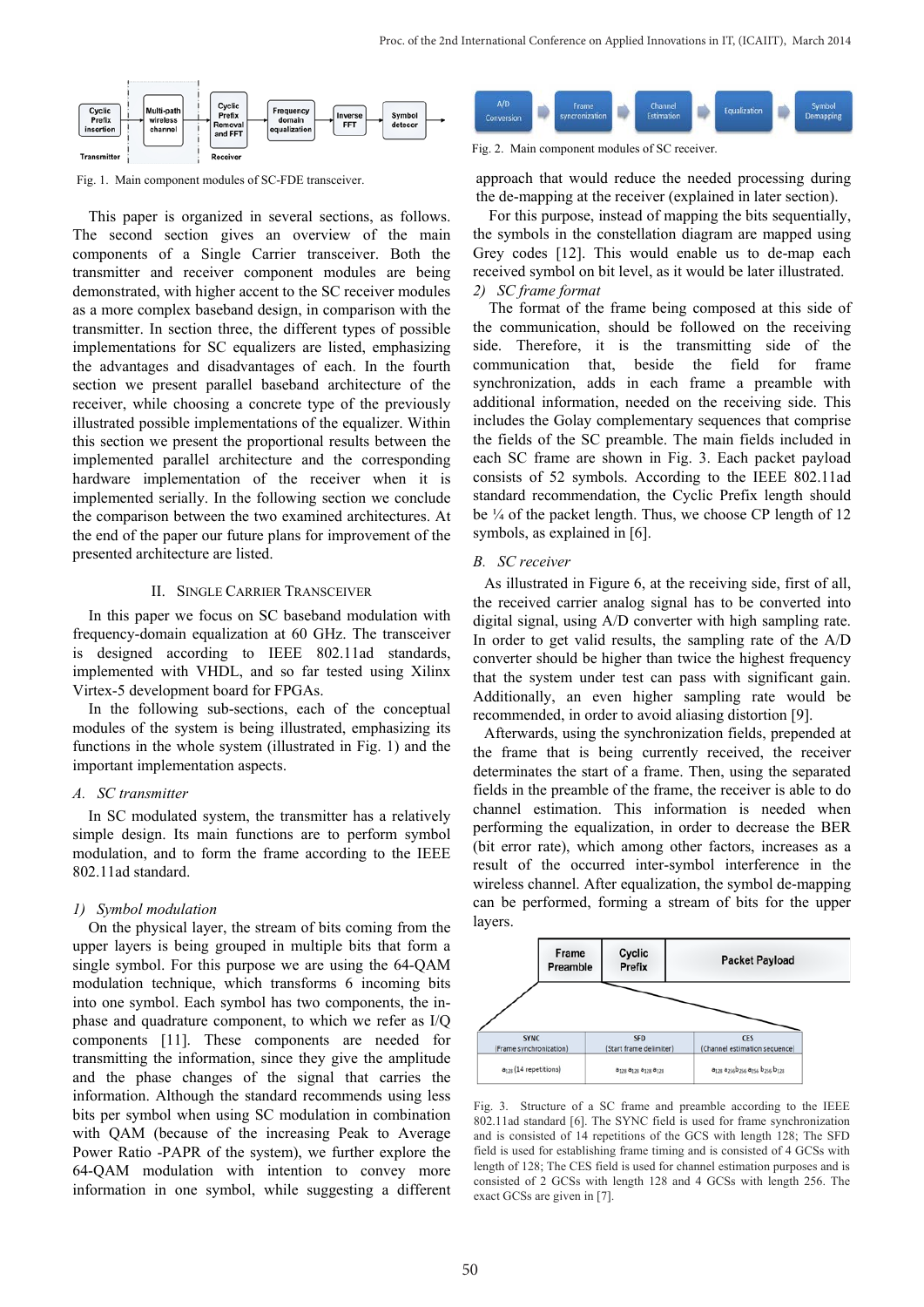

Fig. 1. Main component modules of SC-FDE transceiver.

This paper is organized in several sections, as follows. The second section gives an overview of the main components of a Single Carrier transceiver. Both the transmitter and receiver component modules are being demonstrated, with higher accent to the SC receiver modules as a more complex baseband design, in comparison with the transmitter. In section three, the different types of possible implementations for SC equalizers are listed, emphasizing the advantages and disadvantages of each. In the fourth section we present parallel baseband architecture of the receiver, while choosing a concrete type of the previously illustrated possible implementations of the equalizer. Within this section we present the proportional results between the implemented parallel architecture and the corresponding hardware implementation of the receiver when it is implemented serially. In the following section we conclude the comparison between the two examined architectures. At the end of the paper our future plans for improvement of the presented architecture are listed.

#### II. SINGLE CARRIER TRANSCEIVER

In this paper we focus on SC baseband modulation with frequency-domain equalization at 60 GHz. The transceiver is designed according to IEEE 802.11ad standards, implemented with VHDL, and so far tested using Xilinx Virtex-5 development board for FPGAs.

In the following sub-sections, each of the conceptual modules of the system is being illustrated, emphasizing its functions in the whole system (illustrated in Fig. 1) and the important implementation aspects.

## *A. SC transmitter*

In SC modulated system, the transmitter has a relatively simple design. Its main functions are to perform symbol modulation, and to form the frame according to the IEEE 802.11ad standard.

#### *1) Symbol modulation*

On the physical layer, the stream of bits coming from the upper layers is being grouped in multiple bits that form a single symbol. For this purpose we are using the 64-QAM modulation technique, which transforms 6 incoming bits into one symbol. Each symbol has two components, the inphase and quadrature component, to which we refer as I/Q components [11]. These components are needed for transmitting the information, since they give the amplitude and the phase changes of the signal that carries the information. Although the standard recommends using less bits per symbol when using SC modulation in combination with QAM (because of the increasing Peak to Average Power Ratio -PAPR of the system), we further explore the 64-QAM modulation with intention to convey more information in one symbol, while suggesting a different



Fig. 2. Main component modules of SC receiver.

approach that would reduce the needed processing during the de-mapping at the receiver (explained in later section).

For this purpose, instead of mapping the bits sequentially, the symbols in the constellation diagram are mapped using Grey codes [12]. This would enable us to de-map each received symbol on bit level, as it would be later illustrated. *2) SC frame format*

The format of the frame being composed at this side of the communication, should be followed on the receiving side. Therefore, it is the transmitting side of the communication that, beside the field for frame synchronization, adds in each frame a preamble with additional information, needed on the receiving side. This includes the Golay complementary sequences that comprise the fields of the SC preamble. The main fields included in each SC frame are shown in Fig. 3. Each packet payload consists of 52 symbols. According to the IEEE 802.11ad standard recommendation, the Cyclic Prefix length should be  $\frac{1}{4}$  of the packet length. Thus, we choose CP length of 12 symbols, as explained in [6].

#### *B. SC receiver*

As illustrated in Figure 6, at the receiving side, first of all, the received carrier analog signal has to be converted into digital signal, using A/D converter with high sampling rate. In order to get valid results, the sampling rate of the A/D converter should be higher than twice the highest frequency that the system under test can pass with significant gain. Additionally, an even higher sampling rate would be recommended, in order to avoid aliasing distortion [9].

Afterwards, using the synchronization fields, prepended at the frame that is being currently received, the receiver determinates the start of a frame. Then, using the separated fields in the preamble of the frame, the receiver is able to do channel estimation. This information is needed when performing the equalization, in order to decrease the BER (bit error rate), which among other factors, increases as a result of the occurred inter-symbol interference in the wireless channel. After equalization, the symbol de-mapping can be performed, forming a stream of bits for the upper layers.



Fig. 3. Structure of a SC frame and preamble according to the IEEE 802.11ad standard [6]. The SYNC field is used for frame synchronization and is consisted of 14 repetitions of the GCS with length 128; The SFD field is used for establishing frame timing and is consisted of 4 GCSs with length of 128; The CES field is used for channel estimation purposes and is consisted of 2 GCSs with length 128 and 4 GCSs with length 256. The exact GCSs are given in [7].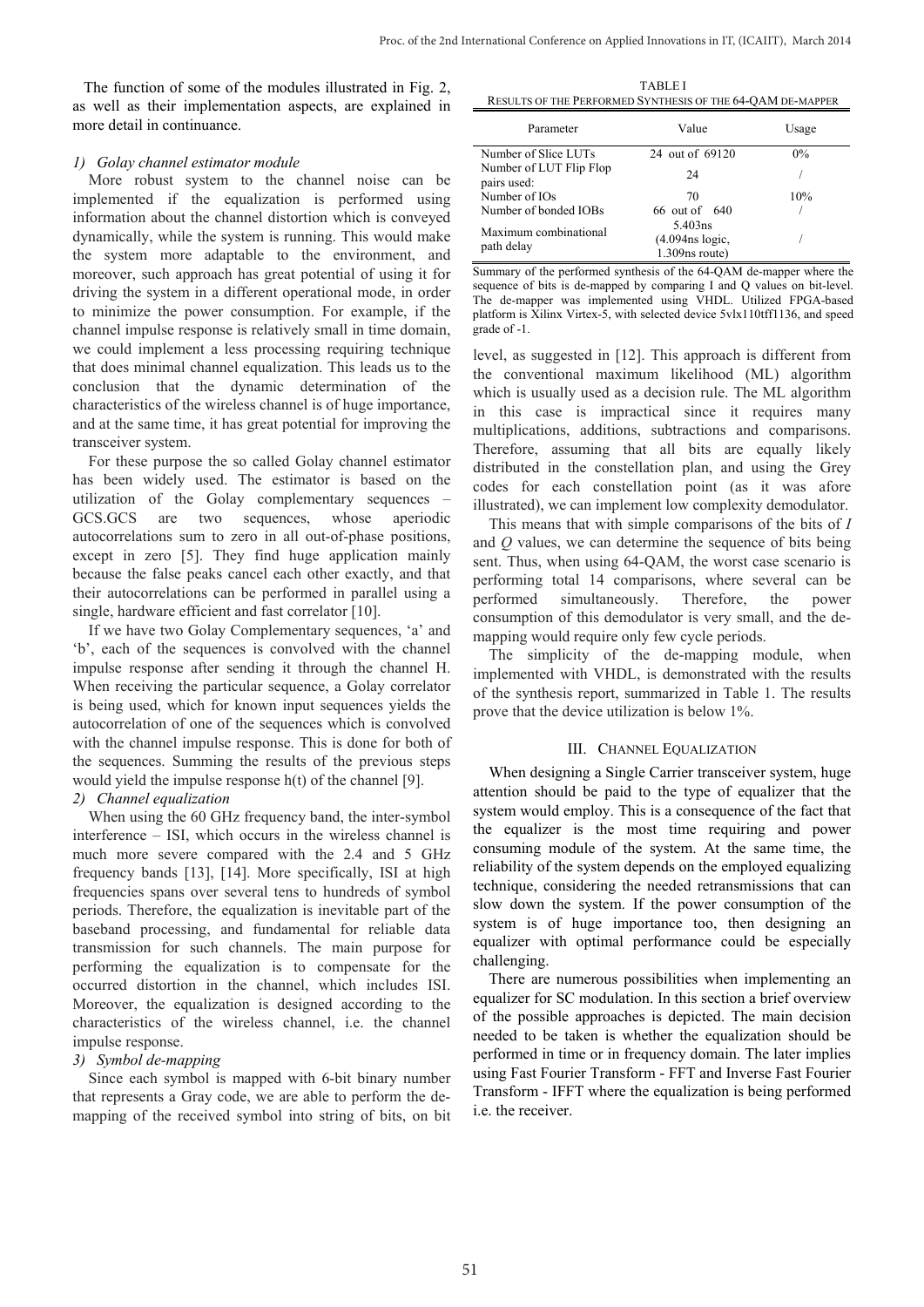The function of some of the modules illustrated in Fig. 2, as well as their implementation aspects, are explained in more detail in continuance.

# *1) Golay channel estimator module*

More robust system to the channel noise can be implemented if the equalization is performed using information about the channel distortion which is conveyed dynamically, while the system is running. This would make the system more adaptable to the environment, and moreover, such approach has great potential of using it for driving the system in a different operational mode, in order to minimize the power consumption. For example, if the channel impulse response is relatively small in time domain, we could implement a less processing requiring technique that does minimal channel equalization. This leads us to the conclusion that the dynamic determination of the characteristics of the wireless channel is of huge importance, and at the same time, it has great potential for improving the transceiver system.

For these purpose the so called Golay channel estimator has been widely used. The estimator is based on the utilization of the Golay complementary sequences – GCS.GCS are two sequences, whose aperiodic autocorrelations sum to zero in all out-of-phase positions, except in zero [5]. They find huge application mainly because the false peaks cancel each other exactly, and that their autocorrelations can be performed in parallel using a single, hardware efficient and fast correlator [10].

If we have two Golay Complementary sequences, 'a' and 'b', each of the sequences is convolved with the channel impulse response after sending it through the channel H. When receiving the particular sequence, a Golay correlator is being used, which for known input sequences yields the autocorrelation of one of the sequences which is convolved with the channel impulse response. This is done for both of the sequences. Summing the results of the previous steps would yield the impulse response h(t) of the channel [9].

# *2) Channel equalization*

When using the 60 GHz frequency band, the inter-symbol interference – ISI, which occurs in the wireless channel is much more severe compared with the 2.4 and 5 GHz frequency bands [13], [14]. More specifically, ISI at high frequencies spans over several tens to hundreds of symbol periods. Therefore, the equalization is inevitable part of the baseband processing, and fundamental for reliable data transmission for such channels. The main purpose for performing the equalization is to compensate for the occurred distortion in the channel, which includes ISI. Moreover, the equalization is designed according to the characteristics of the wireless channel, i.e. the channel impulse response.

# *3) Symbol de-mapping*

Since each symbol is mapped with 6-bit binary number that represents a Gray code, we are able to perform the demapping of the received symbol into string of bits, on bit

TABLE I RESULTS OF THE PERFORMED SYNTHESIS OF THE 64-QAM DE-MAPPER

| Parameter                              | Value                                           | Usage |  |  |  |
|----------------------------------------|-------------------------------------------------|-------|--|--|--|
| Number of Slice LUTs                   | 24 out of 69120                                 | $0\%$ |  |  |  |
| Number of LUT Flip Flop<br>pairs used: | 24                                              |       |  |  |  |
| Number of IOs                          | 70                                              | 10%   |  |  |  |
| Number of bonded IOBs                  | 66 out of 640                                   |       |  |  |  |
| Maximum combinational<br>path delay    | 5.403ns<br>(4.094ns logic,<br>$1.309$ ns route) |       |  |  |  |

Summary of the performed synthesis of the 64-QAM de-mapper where the sequence of bits is de-mapped by comparing I and Q values on bit-level. The de-mapper was implemented using VHDL. Utilized FPGA-based platform is Xilinx Virtex-5, with selected device 5vlx110tff1136, and speed grade of -1.

level, as suggested in [12]. This approach is different from the conventional maximum likelihood (ML) algorithm which is usually used as a decision rule. The ML algorithm in this case is impractical since it requires many multiplications, additions, subtractions and comparisons. Therefore, assuming that all bits are equally likely distributed in the constellation plan, and using the Grey codes for each constellation point (as it was afore illustrated), we can implement low complexity demodulator.

This means that with simple comparisons of the bits of *I* and *Q* values, we can determine the sequence of bits being sent. Thus, when using 64-QAM, the worst case scenario is performing total 14 comparisons, where several can be performed simultaneously. Therefore, the power consumption of this demodulator is very small, and the demapping would require only few cycle periods.

The simplicity of the de-mapping module, when implemented with VHDL, is demonstrated with the results of the synthesis report, summarized in Table 1. The results prove that the device utilization is below 1%.

# III. CHANNEL EQUALIZATION

When designing a Single Carrier transceiver system, huge attention should be paid to the type of equalizer that the system would employ. This is a consequence of the fact that the equalizer is the most time requiring and power consuming module of the system. At the same time, the reliability of the system depends on the employed equalizing technique, considering the needed retransmissions that can slow down the system. If the power consumption of the system is of huge importance too, then designing an equalizer with optimal performance could be especially challenging.

There are numerous possibilities when implementing an equalizer for SC modulation. In this section a brief overview of the possible approaches is depicted. The main decision needed to be taken is whether the equalization should be performed in time or in frequency domain. The later implies using Fast Fourier Transform - FFT and Inverse Fast Fourier Transform - IFFT where the equalization is being performed i.e. the receiver.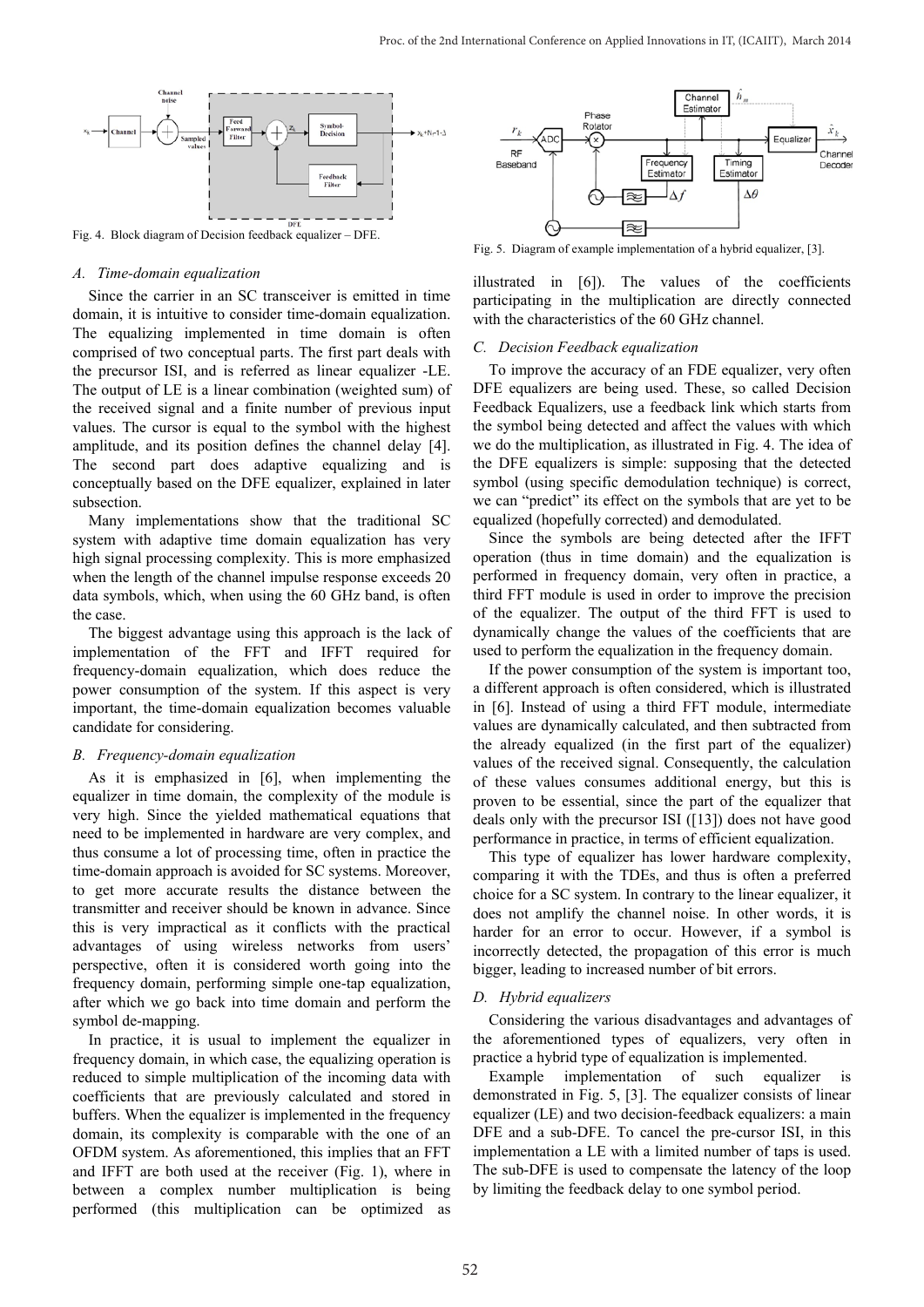

Fig. 4. Block diagram of Decision feedback equalizer – DFE.

#### *A. Time-domain equalization*

Since the carrier in an SC transceiver is emitted in time domain, it is intuitive to consider time-domain equalization. The equalizing implemented in time domain is often comprised of two conceptual parts. The first part deals with the precursor ISI, and is referred as linear equalizer -LE. The output of LE is a linear combination (weighted sum) of the received signal and a finite number of previous input values. The cursor is equal to the symbol with the highest amplitude, and its position defines the channel delay [4]. The second part does adaptive equalizing and is conceptually based on the DFE equalizer, explained in later subsection.

Many implementations show that the traditional SC system with adaptive time domain equalization has very high signal processing complexity. This is more emphasized when the length of the channel impulse response exceeds 20 data symbols, which, when using the 60 GHz band, is often the case.

The biggest advantage using this approach is the lack of implementation of the FFT and IFFT required for frequency-domain equalization, which does reduce the power consumption of the system. If this aspect is very important, the time-domain equalization becomes valuable candidate for considering.

#### *B. Frequency-domain equalization*

As it is emphasized in [6], when implementing the equalizer in time domain, the complexity of the module is very high. Since the yielded mathematical equations that need to be implemented in hardware are very complex, and thus consume a lot of processing time, often in practice the time-domain approach is avoided for SC systems. Moreover, to get more accurate results the distance between the transmitter and receiver should be known in advance. Since this is very impractical as it conflicts with the practical advantages of using wireless networks from users' perspective, often it is considered worth going into the frequency domain, performing simple one-tap equalization, after which we go back into time domain and perform the symbol de-mapping.

In practice, it is usual to implement the equalizer in frequency domain, in which case, the equalizing operation is reduced to simple multiplication of the incoming data with coefficients that are previously calculated and stored in buffers. When the equalizer is implemented in the frequency domain, its complexity is comparable with the one of an OFDM system. As aforementioned, this implies that an FFT and IFFT are both used at the receiver (Fig. 1), where in between a complex number multiplication is being performed (this multiplication can be optimized as



Fig. 5. Diagram of example implementation of a hybrid equalizer, [3].

illustrated in [6]). The values of the coefficients participating in the multiplication are directly connected with the characteristics of the 60 GHz channel.

#### *C. Decision Feedback equalization*

To improve the accuracy of an FDE equalizer, very often DFE equalizers are being used. These, so called Decision Feedback Equalizers, use a feedback link which starts from the symbol being detected and affect the values with which we do the multiplication, as illustrated in Fig. 4. The idea of the DFE equalizers is simple: supposing that the detected symbol (using specific demodulation technique) is correct, we can "predict" its effect on the symbols that are yet to be equalized (hopefully corrected) and demodulated.

Since the symbols are being detected after the IFFT operation (thus in time domain) and the equalization is performed in frequency domain, very often in practice, a third FFT module is used in order to improve the precision of the equalizer. The output of the third FFT is used to dynamically change the values of the coefficients that are used to perform the equalization in the frequency domain.

If the power consumption of the system is important too, a different approach is often considered, which is illustrated in [6]. Instead of using a third FFT module, intermediate values are dynamically calculated, and then subtracted from the already equalized (in the first part of the equalizer) values of the received signal. Consequently, the calculation of these values consumes additional energy, but this is proven to be essential, since the part of the equalizer that deals only with the precursor ISI ([13]) does not have good performance in practice, in terms of efficient equalization.

This type of equalizer has lower hardware complexity, comparing it with the TDEs, and thus is often a preferred choice for a SC system. In contrary to the linear equalizer, it does not amplify the channel noise. In other words, it is harder for an error to occur. However, if a symbol is incorrectly detected, the propagation of this error is much bigger, leading to increased number of bit errors.

## *D. Hybrid equalizers*

Considering the various disadvantages and advantages of the aforementioned types of equalizers, very often in practice a hybrid type of equalization is implemented.

Example implementation of such equalizer is demonstrated in Fig. 5, [3]. The equalizer consists of linear equalizer (LE) and two decision-feedback equalizers: a main DFE and a sub-DFE. To cancel the pre-cursor ISI, in this implementation a LE with a limited number of taps is used. The sub-DFE is used to compensate the latency of the loop by limiting the feedback delay to one symbol period.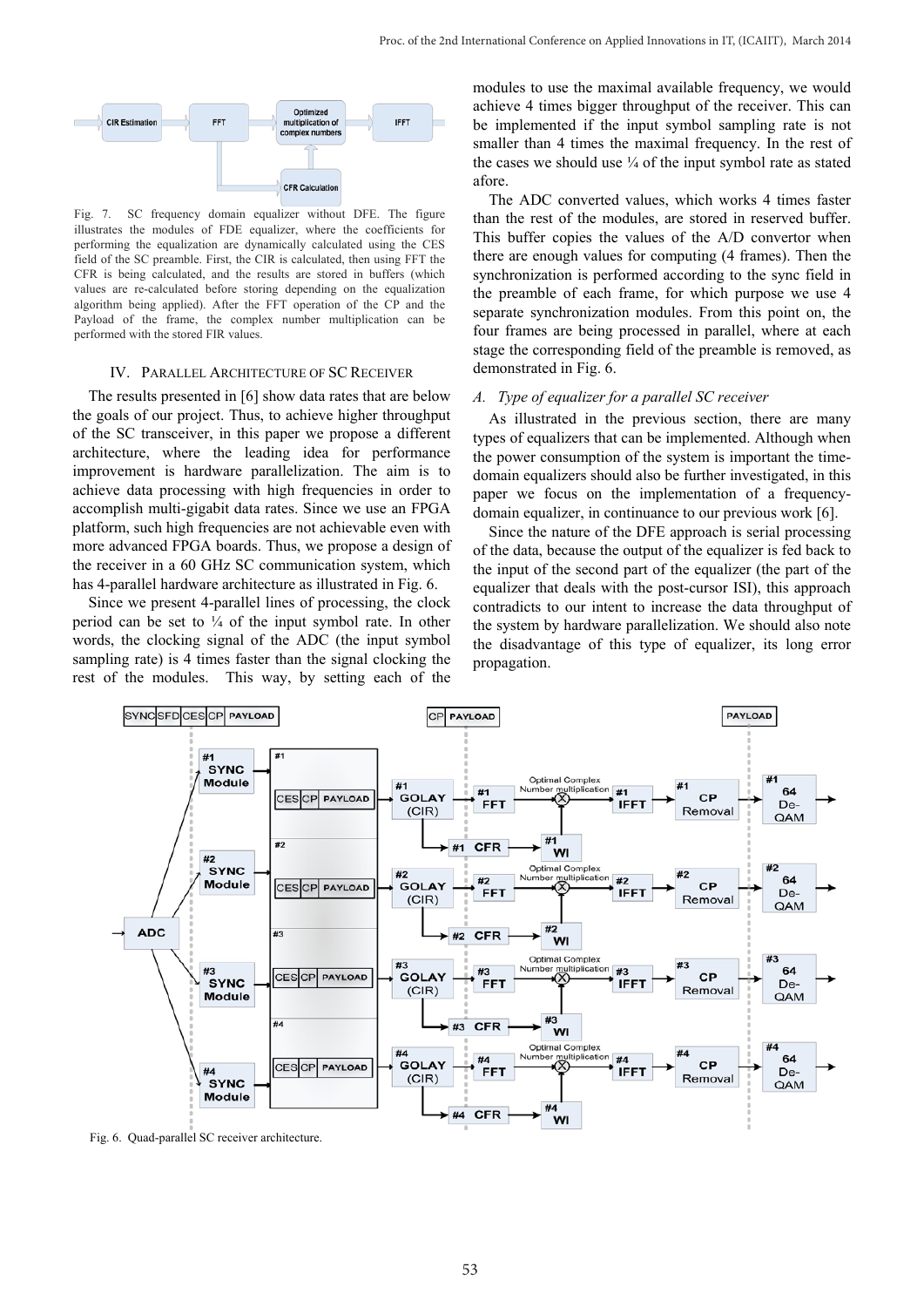

Fig. 7. SC frequency domain equalizer without DFE. The figure illustrates the modules of FDE equalizer, where the coefficients for performing the equalization are dynamically calculated using the CES field of the SC preamble. First, the CIR is calculated, then using FFT the CFR is being calculated, and the results are stored in buffers (which values are re-calculated before storing depending on the equalization algorithm being applied). After the FFT operation of the CP and the Payload of the frame, the complex number multiplication can be performed with the stored FIR values.

#### IV. PARALLEL ARCHITECTURE OF SC RECEIVER

The results presented in [6] show data rates that are below the goals of our project. Thus, to achieve higher throughput of the SC transceiver, in this paper we propose a different architecture, where the leading idea for performance improvement is hardware parallelization. The aim is to achieve data processing with high frequencies in order to accomplish multi-gigabit data rates. Since we use an FPGA platform, such high frequencies are not achievable even with more advanced FPGA boards. Thus, we propose a design of the receiver in a 60 GHz SC communication system, which has 4-parallel hardware architecture as illustrated in Fig. 6.

Since we present 4-parallel lines of processing, the clock period can be set to  $\frac{1}{4}$  of the input symbol rate. In other words, the clocking signal of the ADC (the input symbol sampling rate) is 4 times faster than the signal clocking the rest of the modules. This way, by setting each of the modules to use the maximal available frequency, we would achieve 4 times bigger throughput of the receiver. This can be implemented if the input symbol sampling rate is not smaller than 4 times the maximal frequency. In the rest of the cases we should use  $\frac{1}{4}$  of the input symbol rate as stated afore.

The ADC converted values, which works 4 times faster than the rest of the modules, are stored in reserved buffer. This buffer copies the values of the A/D convertor when there are enough values for computing (4 frames). Then the synchronization is performed according to the sync field in the preamble of each frame, for which purpose we use 4 separate synchronization modules. From this point on, the four frames are being processed in parallel, where at each stage the corresponding field of the preamble is removed, as demonstrated in Fig. 6.

## *A. Type of equalizer for a parallel SC receiver*

As illustrated in the previous section, there are many types of equalizers that can be implemented. Although when the power consumption of the system is important the timedomain equalizers should also be further investigated, in this paper we focus on the implementation of a frequencydomain equalizer, in continuance to our previous work [6].

Since the nature of the DFE approach is serial processing of the data, because the output of the equalizer is fed back to the input of the second part of the equalizer (the part of the equalizer that deals with the post-cursor ISI), this approach contradicts to our intent to increase the data throughput of the system by hardware parallelization. We should also note the disadvantage of this type of equalizer, its long error propagation.



Fig. 6. Quad-parallel SC receiver architecture.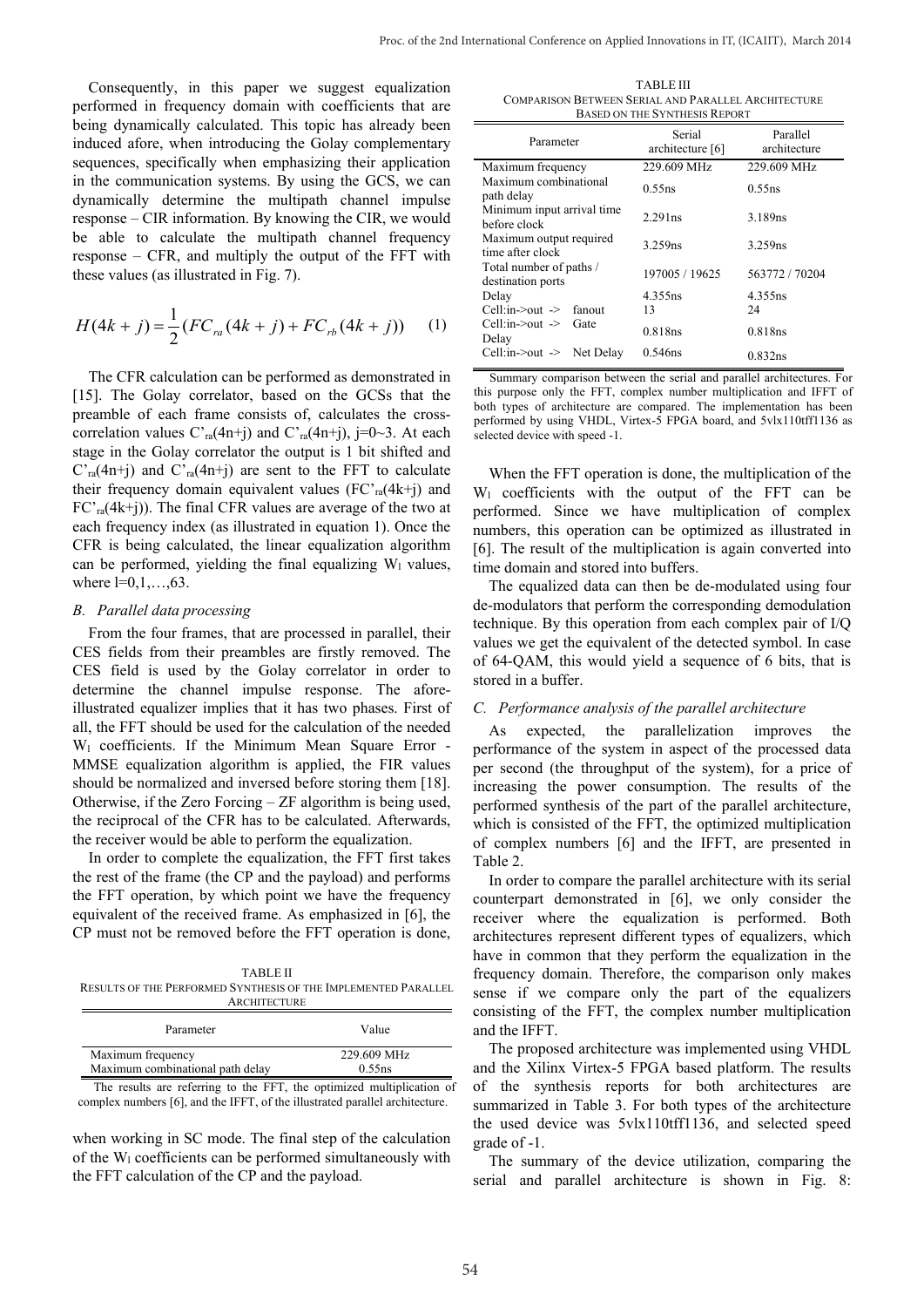Consequently, in this paper we suggest equalization performed in frequency domain with coefficients that are being dynamically calculated. This topic has already been induced afore, when introducing the Golay complementary sequences, specifically when emphasizing their application in the communication systems. By using the GCS, we can dynamically determine the multipath channel impulse response – CIR information. By knowing the CIR, we would be able to calculate the multipath channel frequency response – CFR, and multiply the output of the FFT with these values (as illustrated in Fig. 7).

$$
H(4k + j) = \frac{1}{2} (FC_{ra}(4k + j) + FC_{rb}(4k + j))
$$
 (1)

The CFR calculation can be performed as demonstrated in [15]. The Golay correlator, based on the GCSs that the preamble of each frame consists of, calculates the crosscorrelation values  $C<sub>ra</sub>(4n+j)$  and  $C<sub>ra</sub>(4n+j)$ , j=0~3. At each stage in the Golay correlator the output is 1 bit shifted and  $C<sub>ra</sub>(4n+j)$  and  $C<sub>ra</sub>(4n+j)$  are sent to the FFT to calculate their frequency domain equivalent values  $(FC<sub>ra</sub>(4k+j)$  and  $FC<sub>ra</sub>(4k+j)$ . The final CFR values are average of the two at each frequency index (as illustrated in equation 1). Once the CFR is being calculated, the linear equalization algorithm can be performed, yielding the final equalizing  $W_1$  values, where  $l=0,1,...,63$ .

#### *B. Parallel data processing*

From the four frames, that are processed in parallel, their CES fields from their preambles are firstly removed. The CES field is used by the Golay correlator in order to determine the channel impulse response. The aforeillustrated equalizer implies that it has two phases. First of all, the FFT should be used for the calculation of the needed Wl coefficients. If the Minimum Mean Square Error - MMSE equalization algorithm is applied, the FIR values should be normalized and inversed before storing them [18]. Otherwise, if the Zero Forcing – ZF algorithm is being used, the reciprocal of the CFR has to be calculated. Afterwards, the receiver would be able to perform the equalization.

In order to complete the equalization, the FFT first takes the rest of the frame (the CP and the payload) and performs the FFT operation, by which point we have the frequency equivalent of the received frame. As emphasized in [6], the CP must not be removed before the FFT operation is done,

TABLE II RESULTS OF THE PERFORMED SYNTHESIS OF THE IMPLEMENTED PARALLEL **ARCHITECTURE** 

| Parameter                                             | Value                 |
|-------------------------------------------------------|-----------------------|
| Maximum frequency<br>Maximum combinational path delay | 229.609 MHz<br>0.55ns |
|                                                       |                       |

The results are referring to the FFT, the optimized multiplication of complex numbers [6], and the IFFT, of the illustrated parallel architecture.

when working in SC mode. The final step of the calculation of the  $W_1$  coefficients can be performed simultaneously with the FFT calculation of the CP and the payload.

TABLE III COMPARISON BETWEEN SERIAL AND PARALLEL ARCHITECTURE BASED ON THE SYNTHESIS REPORT

| Parameter                                    | Serial<br>architecture [6] | Parallel<br>architecture |
|----------------------------------------------|----------------------------|--------------------------|
| Maximum frequency                            | 229.609 MHz                | 229.609 MHz              |
| Maximum combinational<br>path delay          | 0.55ns                     | 0.55ns                   |
| Minimum input arrival time<br>before clock   | 2.291ns                    | 3.189ns                  |
| Maximum output required<br>time after clock  | 3.259ns                    | 3.259ns                  |
| Total number of paths /<br>destination ports | 197005 / 19625             | 563772 / 70204           |
| Delay                                        | 4.355ns                    | 4.355ns                  |
| Cell:in->out -> fanout                       | 13                         | 24                       |
| Cell:in > out ><br>Gate<br>Delay             | 0.818ns                    | 0.818ns                  |
| Cell:in- $>$ out $\geq$ Net Delay            | 0.546ns                    | 0.832ns                  |

Summary comparison between the serial and parallel architectures. For this purpose only the FFT, complex number multiplication and IFFT of both types of architecture are compared. The implementation has been performed by using VHDL, Virtex-5 FPGA board, and 5vlx110tff1136 as selected device with speed -1.

When the FFT operation is done, the multiplication of the  $W_1$  coefficients with the output of the FFT can be performed. Since we have multiplication of complex numbers, this operation can be optimized as illustrated in [6]. The result of the multiplication is again converted into time domain and stored into buffers.

The equalized data can then be de-modulated using four de-modulators that perform the corresponding demodulation technique. By this operation from each complex pair of I/Q values we get the equivalent of the detected symbol. In case of 64-QAM, this would yield a sequence of 6 bits, that is stored in a buffer.

#### *C. Performance analysis of the parallel architecture*

As expected, the parallelization improves the performance of the system in aspect of the processed data per second (the throughput of the system), for a price of increasing the power consumption. The results of the performed synthesis of the part of the parallel architecture, which is consisted of the FFT, the optimized multiplication of complex numbers [6] and the IFFT, are presented in Table 2.

In order to compare the parallel architecture with its serial counterpart demonstrated in [6], we only consider the receiver where the equalization is performed. Both architectures represent different types of equalizers, which have in common that they perform the equalization in the frequency domain. Therefore, the comparison only makes sense if we compare only the part of the equalizers consisting of the FFT, the complex number multiplication and the IFFT.

The proposed architecture was implemented using VHDL and the Xilinx Virtex-5 FPGA based platform. The results of the synthesis reports for both architectures are summarized in Table 3. For both types of the architecture the used device was 5vlx110tff1136, and selected speed grade of -1.

The summary of the device utilization, comparing the serial and parallel architecture is shown in Fig. 8: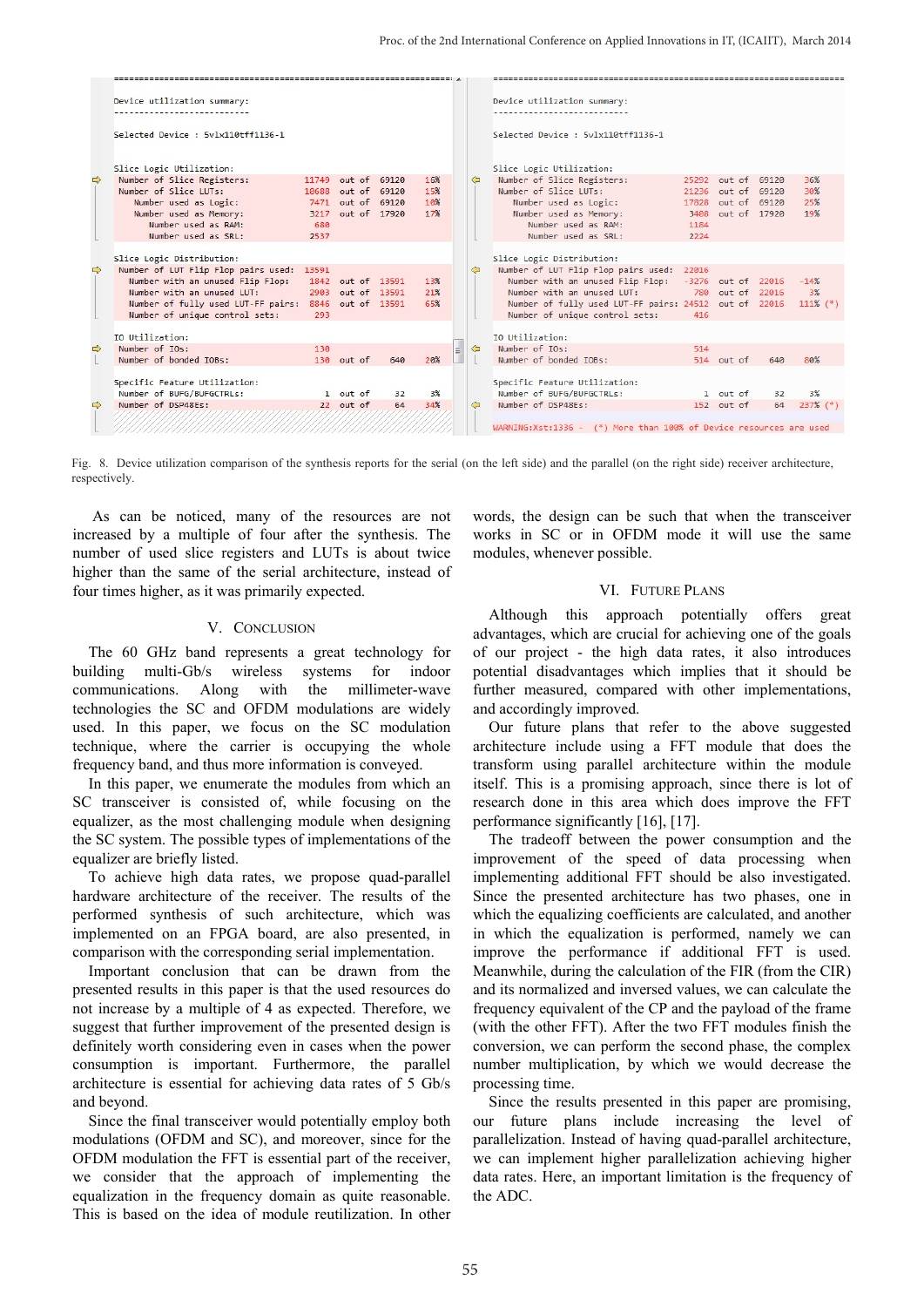|               | Device utilization summary:         |       |                    |     |     |   |   | Device utilization summary:                                        |       |                    |     |             |
|---------------|-------------------------------------|-------|--------------------|-----|-----|---|---|--------------------------------------------------------------------|-------|--------------------|-----|-------------|
|               |                                     |       |                    |     |     |   |   |                                                                    |       |                    |     |             |
|               | Selected Device : 5vlx110tff1136-1  |       |                    |     |     |   |   | Selected Device: 5vlx110tff1136-1                                  |       |                    |     |             |
|               | Slice Logic Utilization:            |       |                    |     |     |   |   | Slice Logic Utilization:                                           |       |                    |     |             |
| $\Rightarrow$ | Number of Slice Registers:          |       | 11749 out of 69120 |     | 16% |   | ⇦ | Number of Slice Registers:                                         |       | 25292 out of 69120 |     | 36%         |
|               | Number of Slice IUTs:               |       | 10688 out of 69120 |     | 15% |   |   | Number of Slice LUTs:                                              |       | 21236 out of 69120 |     | 30%         |
|               | Number used as Logic:               |       | 7471 out of 69120  |     | 10% |   |   | Number used as Logic:                                              | 17828 | out of 69120       |     | 25%         |
|               | Number used as Memory:              | 3217  | out of 17920       |     | 17% |   |   | Number used as Memory:                                             |       | 3408 out of 17920  |     | 19%         |
|               | Number used as RAM:                 | 680   |                    |     |     |   |   | Number used as RAM:                                                | 1184  |                    |     |             |
|               | Number used as SRL:                 | 2537  |                    |     |     |   |   | Number used as SRL:                                                | 2224  |                    |     |             |
|               |                                     |       |                    |     |     |   |   |                                                                    |       |                    |     |             |
|               | Slice Logic Distribution:           |       |                    |     |     |   |   | Slice Logic Distribution:                                          |       |                    |     |             |
| $\Rightarrow$ | Number of LUT Flip Flop pairs used: | 13591 |                    |     |     |   | ⇦ | Number of LUT Flip Flop pairs used:                                | 22016 |                    |     |             |
|               | Number with an unused Flip Flop:    |       | 1842 out of 13591  |     | 13% |   |   | Number with an unused Flip Flop: -3276 out of 22016                |       |                    |     | $-14%$      |
|               | Number with an unused LUT:          |       | 2903 out of 13591  |     | 21% |   |   | Number with an unused LUT: 780 out of 22016                        |       |                    |     | 3%          |
|               | Number of fully used LUT-FF pairs:  |       | 8846 out of 13591  |     | 65% |   |   | Number of fully used LUT-FF pairs: 24512 out of 22016              |       |                    |     | $111\%$ (*) |
|               | Number of unique control sets:      | 293   |                    |     |     |   |   | Number of unique control sets:                                     | 416   |                    |     |             |
|               | IO Utilization:                     |       |                    |     |     |   |   | IO Utilization:                                                    |       |                    |     |             |
| $\Rightarrow$ | Number of IOs:                      | 130   |                    |     |     | 릐 | ⇦ | Number of IOs:                                                     | 514   |                    |     |             |
|               | Number of bonded IOBs:              |       | 130 out of         | 640 | 20% |   |   | Number of bonded IOBs:                                             |       | 514 out of         | 640 | 80%         |
|               |                                     |       |                    |     |     |   |   |                                                                    |       |                    |     |             |
|               | Specific Feature Utilization:       |       |                    |     |     |   |   | Specific Feature Utilization:                                      |       |                    |     |             |
|               | Number of BUFG/BUFGCTRLs:           |       | 1 out of           | 32  | 3%  |   |   | Number of BUFG/BUFGCTRLs:                                          |       | 1 out of           | 32  | 3%          |
| $\Rightarrow$ | Number of DSP48Es:                  |       | 22 out of          | 64  | 34% |   | ⇦ | Number of DSP48Es:                                                 |       | 152 out of         | 64  | $237\%$ (*) |
|               |                                     |       |                    |     |     |   |   |                                                                    |       |                    |     |             |
|               |                                     |       |                    |     |     |   |   | WARNING:Xst:1336 - (*) More than 100% of Device resources are used |       |                    |     |             |

Fig. 8. Device utilization comparison of the synthesis reports for the serial (on the left side) and the parallel (on the right side) receiver architecture, respectively.

As can be noticed, many of the resources are not increased by a multiple of four after the synthesis. The number of used slice registers and LUTs is about twice higher than the same of the serial architecture, instead of four times higher, as it was primarily expected.

#### V. CONCLUSION

The 60 GHz band represents a great technology for building multi-Gb/s wireless systems for indoor communications. Along with the millimeter-wave technologies the SC and OFDM modulations are widely used. In this paper, we focus on the SC modulation technique, where the carrier is occupying the whole frequency band, and thus more information is conveyed.

In this paper, we enumerate the modules from which an SC transceiver is consisted of, while focusing on the equalizer, as the most challenging module when designing the SC system. The possible types of implementations of the equalizer are briefly listed.

To achieve high data rates, we propose quad-parallel hardware architecture of the receiver. The results of the performed synthesis of such architecture, which was implemented on an FPGA board, are also presented, in comparison with the corresponding serial implementation.

Important conclusion that can be drawn from the presented results in this paper is that the used resources do not increase by a multiple of 4 as expected. Therefore, we suggest that further improvement of the presented design is definitely worth considering even in cases when the power consumption is important. Furthermore, the parallel architecture is essential for achieving data rates of 5 Gb/s and beyond.

Since the final transceiver would potentially employ both modulations (OFDM and SC), and moreover, since for the OFDM modulation the FFT is essential part of the receiver, we consider that the approach of implementing the equalization in the frequency domain as quite reasonable. This is based on the idea of module reutilization. In other words, the design can be such that when the transceiver works in SC or in OFDM mode it will use the same modules, whenever possible.

#### VI. FUTURE PLANS

Although this approach potentially offers great advantages, which are crucial for achieving one of the goals of our project - the high data rates, it also introduces potential disadvantages which implies that it should be further measured, compared with other implementations, and accordingly improved.

Our future plans that refer to the above suggested architecture include using a FFT module that does the transform using parallel architecture within the module itself. This is a promising approach, since there is lot of research done in this area which does improve the FFT performance significantly [16], [17].

The tradeoff between the power consumption and the improvement of the speed of data processing when implementing additional FFT should be also investigated. Since the presented architecture has two phases, one in which the equalizing coefficients are calculated, and another in which the equalization is performed, namely we can improve the performance if additional FFT is used. Meanwhile, during the calculation of the FIR (from the CIR) and its normalized and inversed values, we can calculate the frequency equivalent of the CP and the payload of the frame (with the other FFT). After the two FFT modules finish the conversion, we can perform the second phase, the complex number multiplication, by which we would decrease the processing time.

Since the results presented in this paper are promising, our future plans include increasing the level of parallelization. Instead of having quad-parallel architecture, we can implement higher parallelization achieving higher data rates. Here, an important limitation is the frequency of the ADC.